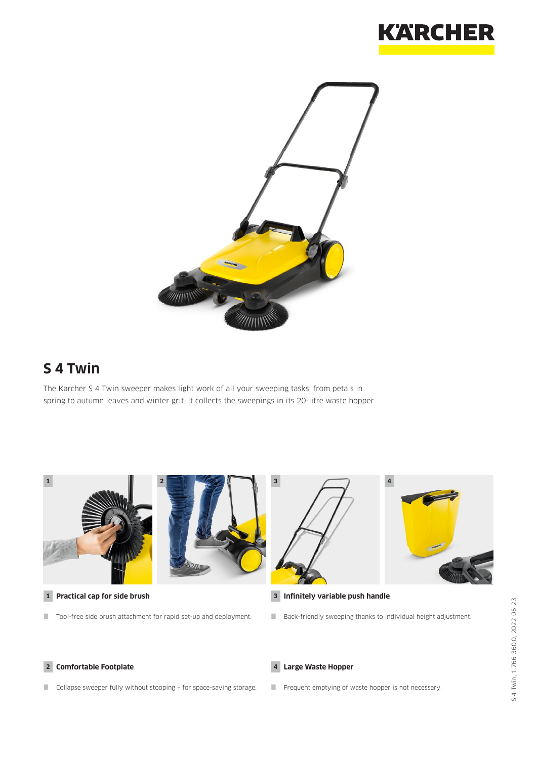



# **S 4 Twin**

The Kärcher S 4 Twin sweeper makes light work of all your sweeping tasks, from petals in spring to autumn leaves and winter grit. It collects the sweepings in its 20-litre waste hopper.

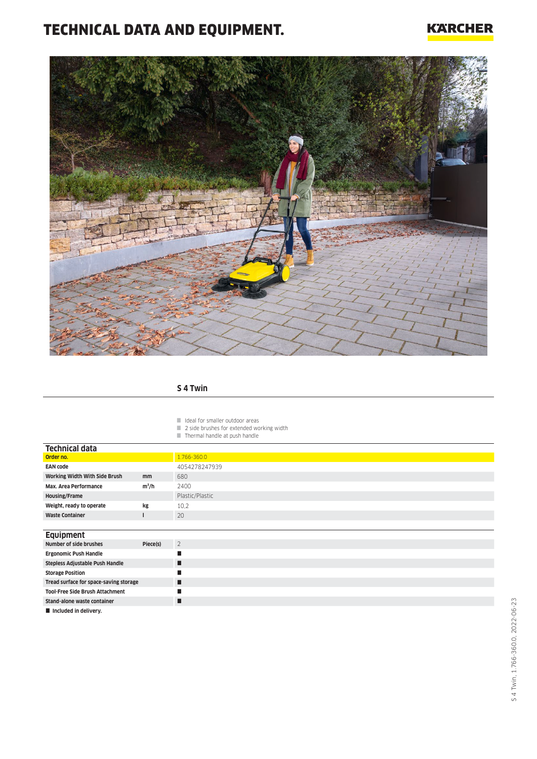# TECHNICAL DATA AND EQUIPMENT.

### **KARCHER**



#### **S 4 Twin**

I Ideal for smaller outdoor areas

- $\Box$  2 side brushes for extended working width
- **Thermal handle at push handle**

| <b>Technical data</b>                  |          |                 |
|----------------------------------------|----------|-----------------|
| Order no.                              |          | 1.766-360.0     |
| <b>EAN code</b>                        |          | 4054278247939   |
| Working Width With Side Brush          | mm       | 680             |
| Max. Area Performance                  | $m^2/h$  | 2400            |
| <b>Housing/Frame</b>                   |          | Plastic/Plastic |
| Weight, ready to operate               | kg       | 10,2            |
| <b>Waste Container</b>                 |          | 20              |
|                                        |          |                 |
| <b>Equipment</b>                       |          |                 |
| Number of side brushes                 | Piece(s) | $\overline{2}$  |
| <b>Ergonomic Push Handle</b>           |          | п               |
| Stepless Adjustable Push Handle        |          | п               |
| <b>Storage Position</b>                |          | п               |
| Tread surface for space-saving storage |          | п               |
| <b>Tool-Free Side Brush Attachment</b> |          | п               |
| Stand-alone waste container            |          | п               |
|                                        |          |                 |